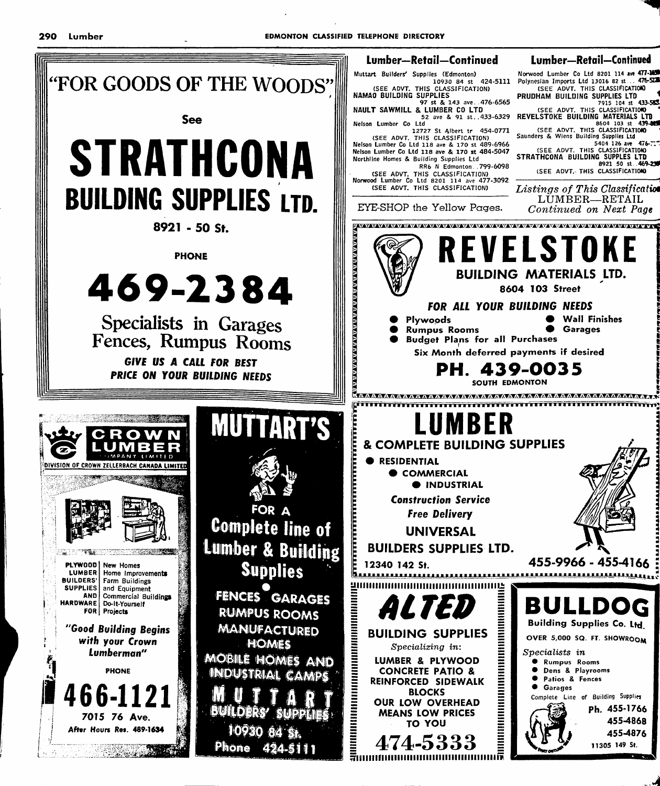